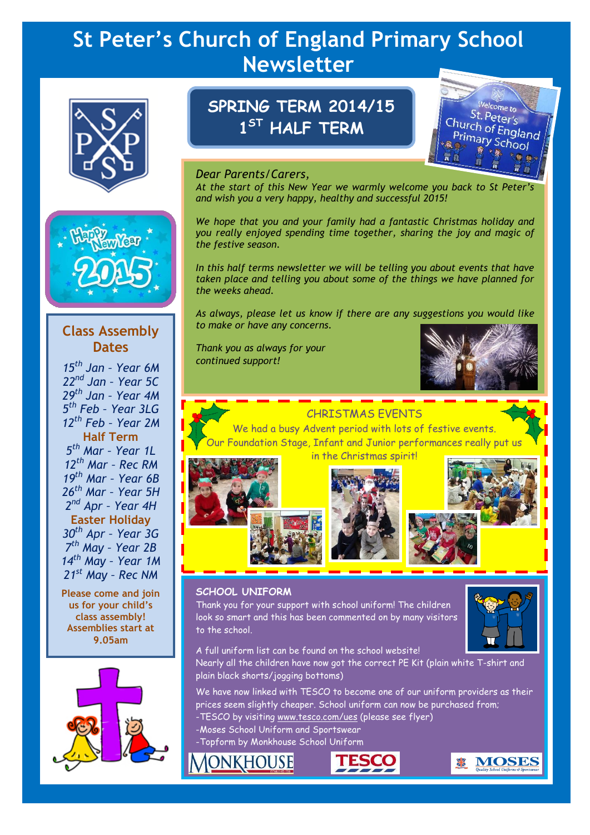# **St Peter's Church of England Primary School Newsletter**





## **Class Assembly Dates**

*th Jan – Year 6M nd Jan – Year 5C th Jan – Year 4M th Feb – Year 3LG th Feb – Year 2M* **Half Term** *th Mar – Year 1L th Mar – Rec RM th Mar – Year 6B th Mar – Year 5H nd Apr – Year 4H* **Easter Holiday** *th Apr – Year 3G th May – Year 2B th May – Year 1M st May – Rec NM*

**Please come and join us for your child's class assembly! Assemblies start at 9.05am**



# **SPRING TERM 2014/15 1 ST HALF TERM**



### *Dear Parents/Carers,*

*At the start of this New Year we warmly welcome you back to St Peter's and wish you a very happy, healthy and successful 2015!*

*We hope that you and your family had a fantastic Christmas holiday and you really enjoyed spending time together, sharing the joy and magic of the festive season.*

*In this half terms newsletter we will be telling you about events that have taken place and telling you about some of the things we have planned for the weeks ahead.*

*As always, please let us know if there are any suggestions you would like to make or have any concerns.*

*Thank you as always for your continued support!*



### CHRISTMAS EVENTS

We had a busy Advent period with lots of festive events. Foundation Stage, Infant and Junior performances really put us



in the Christmas spirit!



### **SCHOOL UNIFORM**

Thank you for your support with school uniform! The children look so smart and this has been commented on by many visitors to the school.



A full uniform list can be found on the school website! Nearly all the children have now got the correct PE Kit (plain white T-shirt and plain black shorts/jogging bottoms)

We have now linked with TESCO to become one of our uniform providers as their prices seem slightly cheaper. School uniform can now be purchased from;

- -TESCO by visiting [www.tesco.com/ues](http://www.tesco.com/ues) (please see flyer)
- -Moses School Uniform and Sportswear
- -Topform by Monkhouse School Uniform

ONKHOUSE



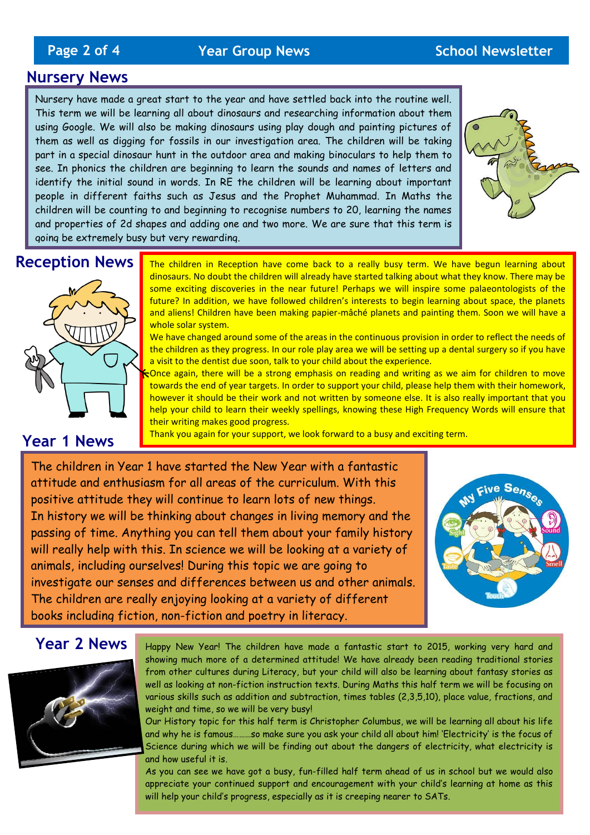# **Page 2 of 4** *Year Group News* **<b>School Newsletter**

### **Nursery News**

Nursery have made a great start to the year and have settled back into the routine well. This term we will be learning all about dinosaurs and researching information about them using Google. We will also be making dinosaurs using play dough and painting pictures of them as well as digging for fossils in our investigation area. The children will be taking part in a special dinosaur hunt in the outdoor area and making binoculars to help them to see. In phonics the children are beginning to learn the sounds and names of letters and identify the initial sound in words. In RE the children will be learning about important people in different faiths such as Jesus and the Prophet Muhammad. In Maths the children will be counting to and beginning to recognise numbers to 20, learning the names and properties of 2d shapes and adding one and two more. We are sure that this term is going be extremely busy but very rewarding.



## **Reception News**



### **Year 1 News**

The children in Reception have come back to a really busy term. We have begun learning about dinosaurs. No doubt the children will already have started talking about what they know. There may be some exciting discoveries in the near future! Perhaps we will inspire some palaeontologists of the future? In addition, we have followed children's interests to begin learning about space, the planets and aliens! Children have been making papier-mâché planets and painting them. Soon we will have a whole solar system.

We have changed around some of the areas in the continuous provision in order to reflect the needs of the children as they progress. In our role play area we will be setting up a dental surgery so if you have a visit to the dentist due soon, talk to your child about the experience.

Once again, there will be a strong emphasis on reading and writing as we aim for children to move towards the end of year targets. In order to support your child, please help them with their homework, however it should be their work and not written by someone else. It is also really important that you help your child to learn their weekly spellings, knowing these High Frequency Words will ensure that their writing makes good progress.

Thank you again for your support, we look forward to a busy and exciting term.

The children in Year 1 have started the New Year with a fantastic attitude and enthusiasm for all areas of the curriculum. With this positive attitude they will continue to learn lots of new things. In history we will be thinking about changes in living memory and the passing of time. Anything you can tell them about your family history will really help with this. In science we will be looking at a variety of animals, including ourselves! During this topic we are going to investigate our senses and differences between us and other animals. The children are really enjoying looking at a variety of different books including fiction, non-fiction and poetry in literacy.



### **Year 2 News**



Happy New Year! The children have made a fantastic start to 2015, working very hard and showing much more of a determined attitude! We have already been reading traditional stories from other cultures during Literacy, but your child will also be learning about fantasy stories as well as looking at non-fiction instruction texts. During Maths this half term we will be focusing on various skills such as addition and subtraction, times tables (2,3,5,10), place value, fractions, and weight and time, so we will be very busy!

Our History topic for this half term is Christopher Columbus, we will be learning all about his life and why he is famous………so make sure you ask your child all about him! 'Electricity' is the focus of Science during which we will be finding out about the dangers of electricity, what electricity is and how useful it is.

As you can see we have got a busy, fun-filled half term ahead of us in school but we would also appreciate your continued support and encouragement with your child's learning at home as this will help your child's progress, especially as it is creeping nearer to SATs.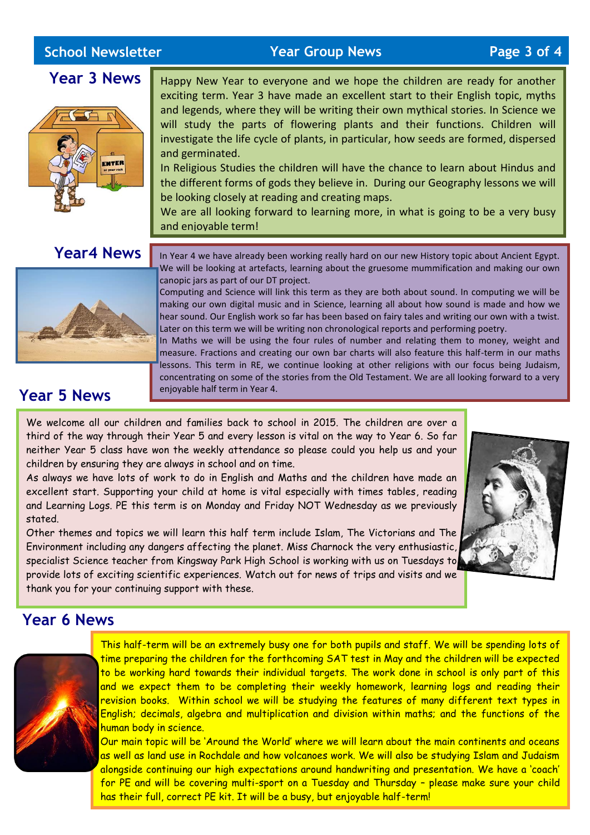## **School Newsletter**

**School Newsletter Year Group News Page 3 of 4**

**Year 3 News**



Happy New Year to everyone and we hope the children are ready for another exciting term. Year 3 have made an excellent start to their English topic, myths and legends, where they will be writing their own mythical stories. In Science we will study the parts of flowering plants and their functions. Children will investigate the life cycle of plants, in particular, how seeds are formed, dispersed and germinated.

In Religious Studies the children will have the chance to learn about Hindus and the different forms of gods they believe in. During our Geography lessons we will be looking closely at reading and creating maps.

We are all looking forward to learning more, in what is going to be a very busy and enjoyable term!

## **Year4 News**



In Year 4 we have already been working really hard on our new History topic about Ancient Egypt. We will be looking at artefacts, learning about the gruesome mummification and making our own canopic jars as part of our DT project.

Computing and Science will link this term as they are both about sound. In computing we will be making our own digital music and in Science, learning all about how sound is made and how we hear sound. Our English work so far has been based on fairy tales and writing our own with a twist. Later on this term we will be writing non chronological reports and performing poetry.

In Maths we will be using the four rules of number and relating them to money, weight and measure. Fractions and creating our own bar charts will also feature this half-term in our maths lessons. This term in RE, we continue looking at other religions with our focus being Judaism, concentrating on some of the stories from the Old Testament. We are all looking forward to a very enjoyable half term in Year 4.

# **Year 5 News**

We welcome all our children and families back to school in 2015. The children are over a third of the way through their Year 5 and every lesson is vital on the way to Year 6. So far neither Year 5 class have won the weekly attendance so please could you help us and your children by ensuring they are always in school and on time.

As always we have lots of work to do in English and Maths and the children have made an excellent start. Supporting your child at home is vital especially with times tables, reading and Learning Logs. PE this term is on Monday and Friday NOT Wednesday as we previously stated.

Other themes and topics we will learn this half term include Islam, The Victorians and The Environment including any dangers affecting the planet. Miss Charnock the very enthusiastic, specialist Science teacher from Kingsway Park High School is working with us on Tuesdays to provide lots of exciting scientific experiences. Watch out for news of trips and visits and we thank you for your continuing support with these.



### **Year 6 News**



This half-term will be an extremely busy one for both pupils and staff. We will be spending lots of time preparing the children for the forthcoming SAT test in May and the children will be expected to be working hard towards their individual targets. The work done in school is only part of this and we expect them to be completing their weekly homework, learning logs and reading their revision books. Within school we will be studying the features of many different text types in English; decimals, algebra and multiplication and division within maths; and the functions of the human body in science.

Our main topic will be 'Around the World' where we will learn about the main continents and oceans as well as land use in Rochdale and how volcanoes work. We will also be studying Islam and Judaism alongside continuing our high expectations around handwriting and presentation. We have a 'coach' for PE and will be covering multi-sport on a Tuesday and Thursday – please make sure your child has their full, correct PE kit. It will be a busy, but enjoyable half-term!